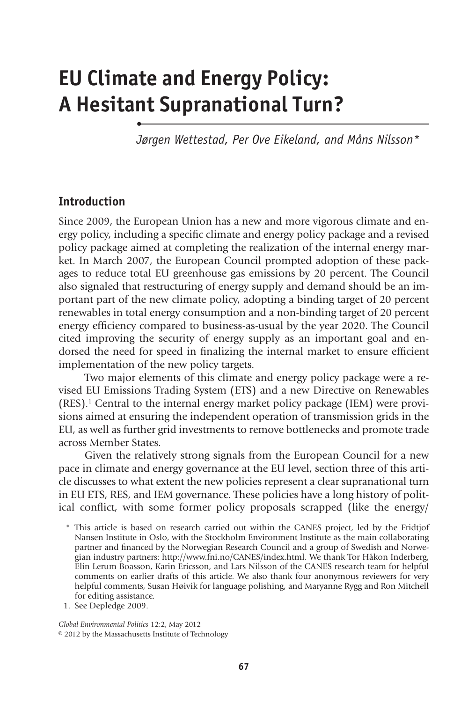# **EU Climate and Energy Policy: A Hesitant Supranational Turn?**

*Jørgen Wettestad, Per Ove Eikeland, and Måns Nilsson\**

# **Introduction**

•

Since 2009, the European Union has a new and more vigorous climate and energy policy, including a specific climate and energy policy package and a revised policy package aimed at completing the realization of the internal energy market. In March 2007, the European Council prompted adoption of these packages to reduce total EU greenhouse gas emissions by 20 percent. The Council also signaled that restructuring of energy supply and demand should be an important part of the new climate policy, adopting a binding target of 20 percent renewables in total energy consumption and a non-binding target of 20 percent energy efficiency compared to business-as-usual by the year 2020. The Council cited improving the security of energy supply as an important goal and endorsed the need for speed in finalizing the internal market to ensure efficient implementation of the new policy targets.

Two major elements of this climate and energy policy package were a revised EU Emissions Trading System (ETS) and a new Directive on Renewables  $(RES).<sup>1</sup>$  Central to the internal energy market policy package (IEM) were provisions aimed at ensuring the independent operation of transmission grids in the EU, as well as further grid investments to remove bottlenecks and promote trade across Member States.

Given the relatively strong signals from the European Council for a new pace in climate and energy governance at the EU level, section three of this article discusses to what extent the new policies represent a clear supranational turn in EU ETS, RES, and IEM governance. These policies have a long history of political conflict, with some former policy proposals scrapped (like the energy/

1. See Depledge 2009.

*Global Environmental Politics* 12:2, May 2012 © 2012 by the Massachusetts Institute of Technology

<sup>\*</sup> This article is based on research carried out within the CANES project, led by the Fridtjof Nansen Institute in Oslo, with the Stockholm Environment Institute as the main collaborating partner and financed by the Norwegian Research Council and a group of Swedish and Norwegian industry partners: http://www.fni.no/CANES/index.html. We thank Tor Håkon Inderberg, Elin Lerum Boasson, Karin Ericsson, and Lars Nilsson of the CANES research team for helpful comments on earlier drafts of this article. We also thank four anonymous reviewers for very helpful comments, Susan Høivik for language polishing, and Maryanne Rygg and Ron Mitchell for editing assistance.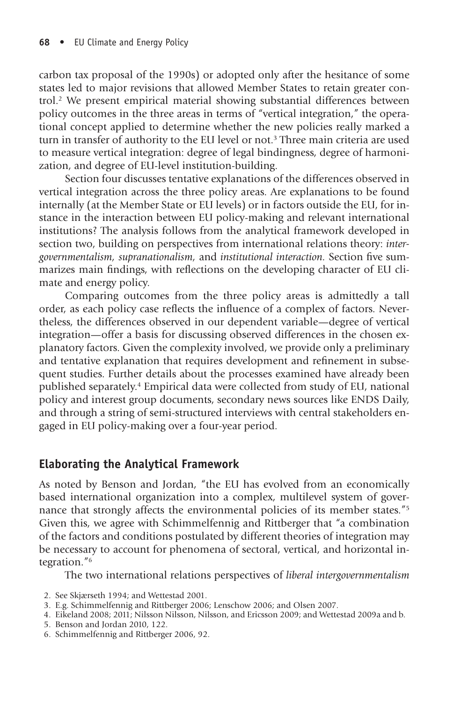carbon tax proposal of the 1990s) or adopted only after the hesitance of some states led to major revisions that allowed Member States to retain greater control.2 We present empirical material showing substantial differences between policy outcomes in the three areas in terms of "vertical integration," the operational concept applied to determine whether the new policies really marked a turn in transfer of authority to the EU level or not.<sup>3</sup> Three main criteria are used to measure vertical integration: degree of legal bindingness, degree of harmonization, and degree of EU-level institution-building.

Section four discusses tentative explanations of the differences observed in vertical integration across the three policy areas. Are explanations to be found internally (at the Member State or EU levels) or in factors outside the EU, for instance in the interaction between EU policy-making and relevant international institutions? The analysis follows from the analytical framework developed in section two, building on perspectives from international relations theory: *intergovernmentalism, supranationalism,* and *institutional interaction.* Section ªve summarizes main findings, with reflections on the developing character of EU climate and energy policy.

Comparing outcomes from the three policy areas is admittedly a tall order, as each policy case reflects the influence of a complex of factors. Nevertheless, the differences observed in our dependent variable—degree of vertical integration—offer a basis for discussing observed differences in the chosen explanatory factors. Given the complexity involved, we provide only a preliminary and tentative explanation that requires development and refinement in subsequent studies. Further details about the processes examined have already been published separately.4 Empirical data were collected from study of EU, national policy and interest group documents, secondary news sources like ENDS Daily, and through a string of semi-structured interviews with central stakeholders engaged in EU policy-making over a four-year period.

# **Elaborating the Analytical Framework**

As noted by Benson and Jordan, "the EU has evolved from an economically based international organization into a complex, multilevel system of governance that strongly affects the environmental policies of its member states."5 Given this, we agree with Schimmelfennig and Rittberger that "a combination of the factors and conditions postulated by different theories of integration may be necessary to account for phenomena of sectoral, vertical, and horizontal integration."6

The two international relations perspectives of *liberal intergovernmentalism*

- 4. Eikeland 2008; 2011; Nilsson Nilsson, Nilsson, and Ericsson 2009; and Wettestad 2009a and b.
- 5. Benson and Jordan 2010, 122.
- 6. Schimmelfennig and Rittberger 2006, 92.

<sup>2.</sup> See Skjærseth 1994; and Wettestad 2001.

<sup>3.</sup> E.g. Schimmelfennig and Rittberger 2006; Lenschow 2006; and Olsen 2007.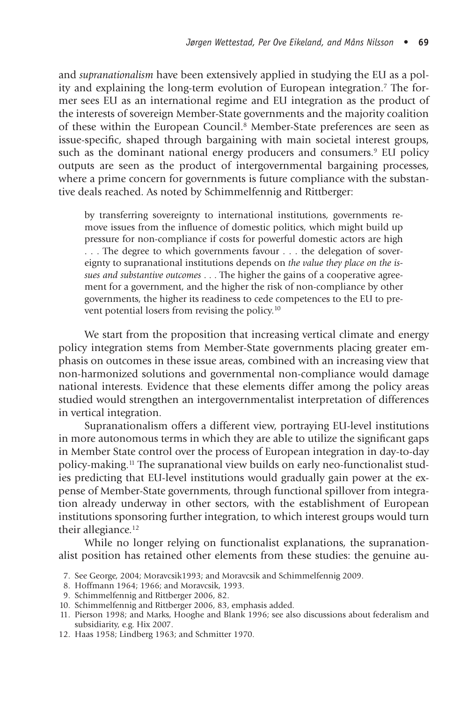and *supranationalism* have been extensively applied in studying the EU as a polity and explaining the long-term evolution of European integration.7 The former sees EU as an international regime and EU integration as the product of the interests of sovereign Member-State governments and the majority coalition of these within the European Council.<sup>8</sup> Member-State preferences are seen as issue-specific, shaped through bargaining with main societal interest groups, such as the dominant national energy producers and consumers.<sup>9</sup> EU policy outputs are seen as the product of intergovernmental bargaining processes, where a prime concern for governments is future compliance with the substantive deals reached. As noted by Schimmelfennig and Rittberger:

by transferring sovereignty to international institutions, governments remove issues from the influence of domestic politics, which might build up pressure for non-compliance if costs for powerful domestic actors are high . . . The degree to which governments favour . . . the delegation of sovereignty to supranational institutions depends on *the value they place on the issues and substantive outcomes* . . . The higher the gains of a cooperative agreement for a government, and the higher the risk of non-compliance by other governments, the higher its readiness to cede competences to the EU to prevent potential losers from revising the policy.<sup>10</sup>

We start from the proposition that increasing vertical climate and energy policy integration stems from Member-State governments placing greater emphasis on outcomes in these issue areas, combined with an increasing view that non-harmonized solutions and governmental non-compliance would damage national interests. Evidence that these elements differ among the policy areas studied would strengthen an intergovernmentalist interpretation of differences in vertical integration.

Supranationalism offers a different view, portraying EU-level institutions in more autonomous terms in which they are able to utilize the significant gaps in Member State control over the process of European integration in day-to-day policy-making.11 The supranational view builds on early neo-functionalist studies predicting that EU-level institutions would gradually gain power at the expense of Member-State governments, through functional spillover from integration already underway in other sectors, with the establishment of European institutions sponsoring further integration, to which interest groups would turn their allegiance.<sup>12</sup>

While no longer relying on functionalist explanations, the supranationalist position has retained other elements from these studies: the genuine au-

- 8. Hoffmann 1964; 1966; and Moravcsik, 1993.
- 9. Schimmelfennig and Rittberger 2006, 82.
- 10. Schimmelfennig and Rittberger 2006, 83, emphasis added.
- 11. Pierson 1998; and Marks, Hooghe and Blank 1996; see also discussions about federalism and subsidiarity, e.g. Hix 2007.
- 12. Haas 1958; Lindberg 1963; and Schmitter 1970.

<sup>7.</sup> See George, 2004; Moravcsik1993; and Moravcsik and Schimmelfennig 2009.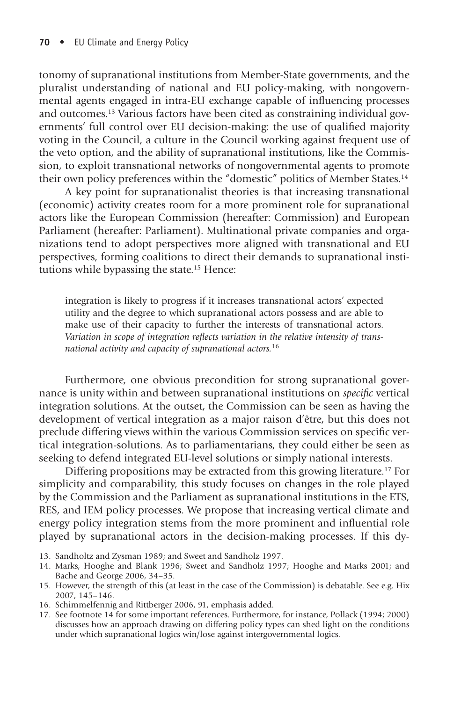tonomy of supranational institutions from Member-State governments, and the pluralist understanding of national and EU policy-making, with nongovernmental agents engaged in intra-EU exchange capable of influencing processes and outcomes.13 Various factors have been cited as constraining individual governments' full control over EU decision-making: the use of qualified majority voting in the Council, a culture in the Council working against frequent use of the veto option, and the ability of supranational institutions, like the Commission, to exploit transnational networks of nongovernmental agents to promote their own policy preferences within the "domestic" politics of Member States.<sup>14</sup>

A key point for supranationalist theories is that increasing transnational (economic) activity creates room for a more prominent role for supranational actors like the European Commission (hereafter: Commission) and European Parliament (hereafter: Parliament). Multinational private companies and organizations tend to adopt perspectives more aligned with transnational and EU perspectives, forming coalitions to direct their demands to supranational institutions while bypassing the state.<sup>15</sup> Hence:

integration is likely to progress if it increases transnational actors' expected utility and the degree to which supranational actors possess and are able to make use of their capacity to further the interests of transnational actors. Variation in scope of integration reflects variation in the relative intensity of trans*national activity and capacity of supranational actors.*<sup>16</sup>

Furthermore, one obvious precondition for strong supranational governance is unity within and between supranational institutions on *specific* vertical integration solutions. At the outset, the Commission can be seen as having the development of vertical integration as a major raison d'être, but this does not preclude differing views within the various Commission services on specific vertical integration-solutions. As to parliamentarians, they could either be seen as seeking to defend integrated EU-level solutions or simply national interests.

Differing propositions may be extracted from this growing literature.<sup>17</sup> For simplicity and comparability, this study focuses on changes in the role played by the Commission and the Parliament as supranational institutions in the ETS, RES, and IEM policy processes. We propose that increasing vertical climate and energy policy integration stems from the more prominent and influential role played by supranational actors in the decision-making processes. If this dy-

- 13. Sandholtz and Zysman 1989; and Sweet and Sandholz 1997.
- 14. Marks, Hooghe and Blank 1996; Sweet and Sandholz 1997; Hooghe and Marks 2001; and Bache and George 2006, 34–35.
- 15. However, the strength of this (at least in the case of the Commission) is debatable. See e.g. Hix 2007, 145–146.
- 16. Schimmelfennig and Rittberger 2006, 91, emphasis added.
- 17. See footnote 14 for some important references. Furthermore, for instance, Pollack (1994; 2000) discusses how an approach drawing on differing policy types can shed light on the conditions under which supranational logics win/lose against intergovernmental logics.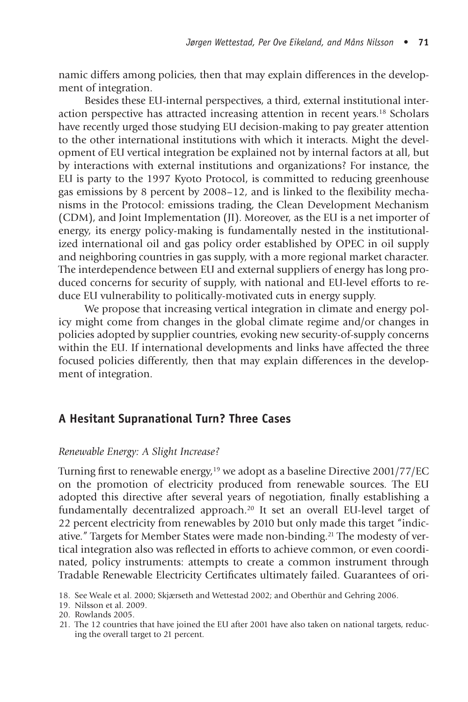namic differs among policies, then that may explain differences in the development of integration.

Besides these EU-internal perspectives, a third, external institutional interaction perspective has attracted increasing attention in recent years.18 Scholars have recently urged those studying EU decision-making to pay greater attention to the other international institutions with which it interacts. Might the development of EU vertical integration be explained not by internal factors at all, but by interactions with external institutions and organizations? For instance, the EU is party to the 1997 Kyoto Protocol, is committed to reducing greenhouse gas emissions by 8 percent by 2008–12, and is linked to the flexibility mechanisms in the Protocol: emissions trading, the Clean Development Mechanism (CDM), and Joint Implementation (JI). Moreover, as the EU is a net importer of energy, its energy policy-making is fundamentally nested in the institutionalized international oil and gas policy order established by OPEC in oil supply and neighboring countries in gas supply, with a more regional market character. The interdependence between EU and external suppliers of energy has long produced concerns for security of supply, with national and EU-level efforts to reduce EU vulnerability to politically-motivated cuts in energy supply.

We propose that increasing vertical integration in climate and energy policy might come from changes in the global climate regime and/or changes in policies adopted by supplier countries, evoking new security-of-supply concerns within the EU. If international developments and links have affected the three focused policies differently, then that may explain differences in the development of integration.

# **A Hesitant Supranational Turn? Three Cases**

## *Renewable Energy: A Slight Increase?*

Turning first to renewable energy,<sup>19</sup> we adopt as a baseline Directive 2001/77/EC on the promotion of electricity produced from renewable sources. The EU adopted this directive after several years of negotiation, finally establishing a fundamentally decentralized approach.<sup>20</sup> It set an overall EU-level target of 22 percent electricity from renewables by 2010 but only made this target "indicative." Targets for Member States were made non-binding.<sup>21</sup> The modesty of vertical integration also was reflected in efforts to achieve common, or even coordinated, policy instruments: attempts to create a common instrument through Tradable Renewable Electricity Certificates ultimately failed. Guarantees of ori-

- 18. See Weale et al. 2000; Skjærseth and Wettestad 2002; and Oberthür and Gehring 2006.
- 19. Nilsson et al. 2009.
- 20. Rowlands 2005.
- 21. The 12 countries that have joined the EU after 2001 have also taken on national targets, reducing the overall target to 21 percent.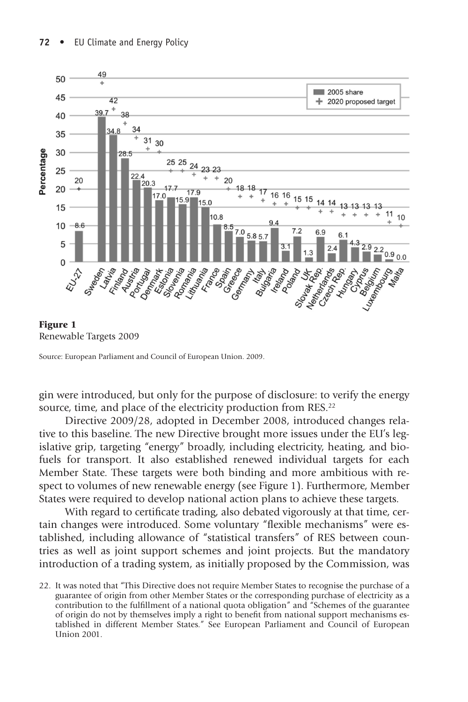



Source: European Parliament and Council of European Union. 2009.

gin were introduced, but only for the purpose of disclosure: to verify the energy source, time, and place of the electricity production from RES.<sup>22</sup>

Directive 2009/28, adopted in December 2008, introduced changes relative to this baseline. The new Directive brought more issues under the EU's legislative grip, targeting "energy" broadly, including electricity, heating, and biofuels for transport. It also established renewed individual targets for each Member State. These targets were both binding and more ambitious with respect to volumes of new renewable energy (see Figure 1). Furthermore, Member States were required to develop national action plans to achieve these targets.

With regard to certificate trading, also debated vigorously at that time, certain changes were introduced. Some voluntary "flexible mechanisms" were established, including allowance of "statistical transfers" of RES between countries as well as joint support schemes and joint projects. But the mandatory introduction of a trading system, as initially proposed by the Commission, was

<sup>22.</sup> It was noted that "This Directive does not require Member States to recognise the purchase of a guarantee of origin from other Member States or the corresponding purchase of electricity as a contribution to the fulfillment of a national quota obligation" and "Schemes of the guarantee of origin do not by themselves imply a right to benefit from national support mechanisms established in different Member States." See European Parliament and Council of European Union 2001.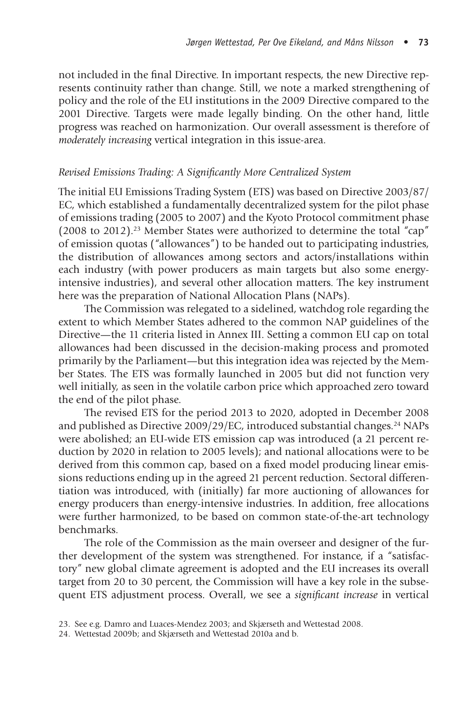not included in the final Directive. In important respects, the new Directive represents continuity rather than change. Still, we note a marked strengthening of policy and the role of the EU institutions in the 2009 Directive compared to the 2001 Directive. Targets were made legally binding. On the other hand, little progress was reached on harmonization. Our overall assessment is therefore of *moderately increasing* vertical integration in this issue-area.

## *Revised Emissions Trading: A Significantly More Centralized System*

The initial EU Emissions Trading System (ETS) was based on Directive 2003/87/ EC, which established a fundamentally decentralized system for the pilot phase of emissions trading (2005 to 2007) and the Kyoto Protocol commitment phase (2008 to 2012).23 Member States were authorized to determine the total "cap" of emission quotas ("allowances") to be handed out to participating industries, the distribution of allowances among sectors and actors/installations within each industry (with power producers as main targets but also some energyintensive industries), and several other allocation matters. The key instrument here was the preparation of National Allocation Plans (NAPs).

The Commission was relegated to a sidelined, watchdog role regarding the extent to which Member States adhered to the common NAP guidelines of the Directive—the 11 criteria listed in Annex III. Setting a common EU cap on total allowances had been discussed in the decision-making process and promoted primarily by the Parliament—but this integration idea was rejected by the Member States. The ETS was formally launched in 2005 but did not function very well initially, as seen in the volatile carbon price which approached zero toward the end of the pilot phase.

The revised ETS for the period 2013 to 2020, adopted in December 2008 and published as Directive 2009/29/EC, introduced substantial changes.<sup>24</sup> NAPs were abolished; an EU-wide ETS emission cap was introduced (a 21 percent reduction by 2020 in relation to 2005 levels); and national allocations were to be derived from this common cap, based on a fixed model producing linear emissions reductions ending up in the agreed 21 percent reduction. Sectoral differentiation was introduced, with (initially) far more auctioning of allowances for energy producers than energy-intensive industries. In addition, free allocations were further harmonized, to be based on common state-of-the-art technology benchmarks.

The role of the Commission as the main overseer and designer of the further development of the system was strengthened. For instance, if a "satisfactory" new global climate agreement is adopted and the EU increases its overall target from 20 to 30 percent, the Commission will have a key role in the subsequent ETS adjustment process. Overall, we see a *significant increase* in vertical

24. Wettestad 2009b; and Skjærseth and Wettestad 2010a and b.

<sup>23.</sup> See e.g. Damro and Luaces-Mendez 2003; and Skjærseth and Wettestad 2008.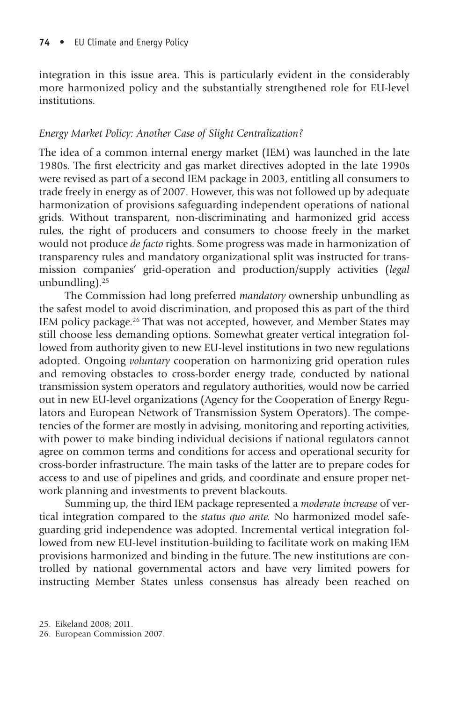integration in this issue area. This is particularly evident in the considerably more harmonized policy and the substantially strengthened role for EU-level institutions.

## *Energy Market Policy: Another Case of Slight Centralization?*

The idea of a common internal energy market (IEM) was launched in the late 1980s. The first electricity and gas market directives adopted in the late 1990s were revised as part of a second IEM package in 2003, entitling all consumers to trade freely in energy as of 2007. However, this was not followed up by adequate harmonization of provisions safeguarding independent operations of national grids. Without transparent, non-discriminating and harmonized grid access rules, the right of producers and consumers to choose freely in the market would not produce *de facto* rights. Some progress was made in harmonization of transparency rules and mandatory organizational split was instructed for transmission companies' grid-operation and production/supply activities (*legal* unbundling). $25$ 

The Commission had long preferred *mandatory* ownership unbundling as the safest model to avoid discrimination, and proposed this as part of the third IEM policy package.26 That was not accepted, however, and Member States may still choose less demanding options. Somewhat greater vertical integration followed from authority given to new EU-level institutions in two new regulations adopted. Ongoing *voluntary* cooperation on harmonizing grid operation rules and removing obstacles to cross-border energy trade, conducted by national transmission system operators and regulatory authorities, would now be carried out in new EU-level organizations (Agency for the Cooperation of Energy Regulators and European Network of Transmission System Operators). The competencies of the former are mostly in advising, monitoring and reporting activities, with power to make binding individual decisions if national regulators cannot agree on common terms and conditions for access and operational security for cross-border infrastructure. The main tasks of the latter are to prepare codes for access to and use of pipelines and grids, and coordinate and ensure proper network planning and investments to prevent blackouts.

Summing up, the third IEM package represented a *moderate increase* of vertical integration compared to the *status quo ante.* No harmonized model safeguarding grid independence was adopted. Incremental vertical integration followed from new EU-level institution-building to facilitate work on making IEM provisions harmonized and binding in the future. The new institutions are controlled by national governmental actors and have very limited powers for instructing Member States unless consensus has already been reached on

25. Eikeland 2008; 2011.

26. European Commission 2007.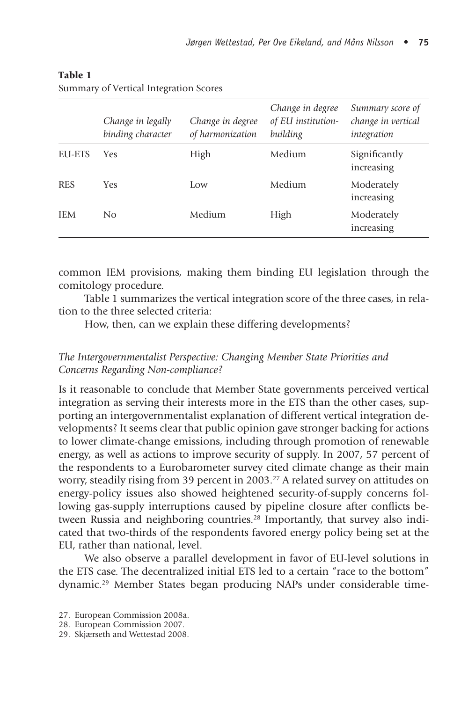|               | Change in legally<br>binding character | Change in degree<br>of harmonization | Change in degree<br>of EU institution-<br>building | Summary score of<br>change in vertical<br>integration |
|---------------|----------------------------------------|--------------------------------------|----------------------------------------------------|-------------------------------------------------------|
| <b>EU-ETS</b> | <b>Yes</b>                             | High                                 | Medium                                             | Significantly<br>increasing                           |
| <b>RES</b>    | <b>Yes</b>                             | Low                                  | Medium                                             | Moderately<br>increasing                              |
| <b>IEM</b>    | No                                     | Medium                               | High                                               | Moderately<br>increasing                              |

#### Table 1

Summary of Vertical Integration Scores

common IEM provisions, making them binding EU legislation through the comitology procedure.

Table 1 summarizes the vertical integration score of the three cases, in relation to the three selected criteria:

How, then, can we explain these differing developments?

## *The Intergovernmentalist Perspective: Changing Member State Priorities and Concerns Regarding Non-compliance?*

Is it reasonable to conclude that Member State governments perceived vertical integration as serving their interests more in the ETS than the other cases, supporting an intergovernmentalist explanation of different vertical integration developments? It seems clear that public opinion gave stronger backing for actions to lower climate-change emissions, including through promotion of renewable energy, as well as actions to improve security of supply. In 2007, 57 percent of the respondents to a Eurobarometer survey cited climate change as their main worry, steadily rising from 39 percent in 2003.<sup>27</sup> A related survey on attitudes on energy-policy issues also showed heightened security-of-supply concerns following gas-supply interruptions caused by pipeline closure after conflicts between Russia and neighboring countries.<sup>28</sup> Importantly, that survey also indicated that two-thirds of the respondents favored energy policy being set at the EU, rather than national, level.

We also observe a parallel development in favor of EU-level solutions in the ETS case. The decentralized initial ETS led to a certain "race to the bottom" dynamic.29 Member States began producing NAPs under considerable time-

<sup>27.</sup> European Commission 2008a.

<sup>28.</sup> European Commission 2007.

<sup>29.</sup> Skjærseth and Wettestad 2008.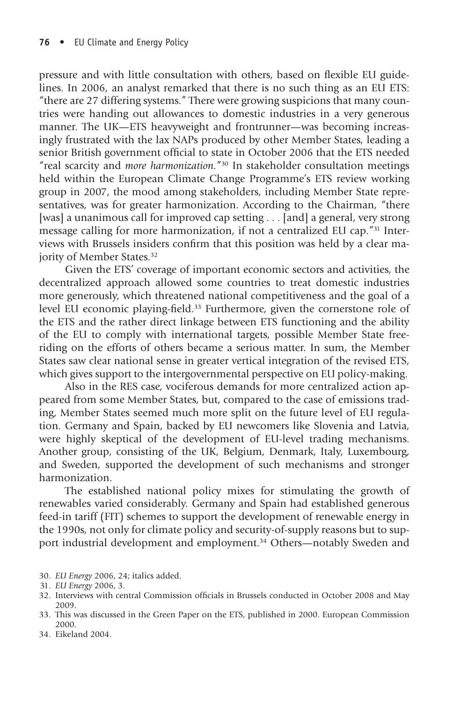pressure and with little consultation with others, based on flexible EU guidelines. In 2006, an analyst remarked that there is no such thing as an EU ETS: "there are 27 differing systems." There were growing suspicions that many countries were handing out allowances to domestic industries in a very generous manner. The UK—ETS heavyweight and frontrunner—was becoming increasingly frustrated with the lax NAPs produced by other Member States, leading a senior British government official to state in October 2006 that the ETS needed "real scarcity and *more harmonization.*"30 In stakeholder consultation meetings held within the European Climate Change Programme's ETS review working group in 2007, the mood among stakeholders, including Member State representatives, was for greater harmonization. According to the Chairman, "there [was] a unanimous call for improved cap setting . . . [and] a general, very strong message calling for more harmonization, if not a centralized EU cap."31 Interviews with Brussels insiders confirm that this position was held by a clear majority of Member States.<sup>32</sup>

Given the ETS' coverage of important economic sectors and activities, the decentralized approach allowed some countries to treat domestic industries more generously, which threatened national competitiveness and the goal of a level EU economic playing-field.<sup>33</sup> Furthermore, given the cornerstone role of the ETS and the rather direct linkage between ETS functioning and the ability of the EU to comply with international targets, possible Member State freeriding on the efforts of others became a serious matter. In sum, the Member States saw clear national sense in greater vertical integration of the revised ETS, which gives support to the intergovernmental perspective on EU policy-making.

Also in the RES case, vociferous demands for more centralized action appeared from some Member States, but, compared to the case of emissions trading, Member States seemed much more split on the future level of EU regulation. Germany and Spain, backed by EU newcomers like Slovenia and Latvia, were highly skeptical of the development of EU-level trading mechanisms. Another group, consisting of the UK, Belgium, Denmark, Italy, Luxembourg, and Sweden, supported the development of such mechanisms and stronger harmonization.

The established national policy mixes for stimulating the growth of renewables varied considerably. Germany and Spain had established generous feed-in tariff (FIT) schemes to support the development of renewable energy in the 1990s, not only for climate policy and security-of-supply reasons but to support industrial development and employment.<sup>34</sup> Others—notably Sweden and

- 30. *EU Energy* 2006, 24; italics added.
- 31. *EU Energy* 2006, 3.
- 32. Interviews with central Commission officials in Brussels conducted in October 2008 and May 2009.
- 33. This was discussed in the Green Paper on the ETS, published in 2000. European Commission 2000.
- 34. Eikeland 2004.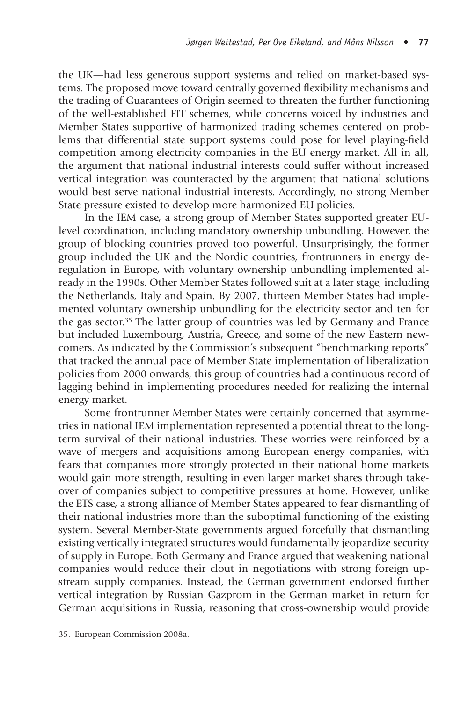the UK—had less generous support systems and relied on market-based systems. The proposed move toward centrally governed flexibility mechanisms and the trading of Guarantees of Origin seemed to threaten the further functioning of the well-established FIT schemes, while concerns voiced by industries and Member States supportive of harmonized trading schemes centered on problems that differential state support systems could pose for level playing-field competition among electricity companies in the EU energy market. All in all, the argument that national industrial interests could suffer without increased vertical integration was counteracted by the argument that national solutions would best serve national industrial interests. Accordingly, no strong Member State pressure existed to develop more harmonized EU policies.

In the IEM case, a strong group of Member States supported greater EUlevel coordination, including mandatory ownership unbundling. However, the group of blocking countries proved too powerful. Unsurprisingly, the former group included the UK and the Nordic countries, frontrunners in energy deregulation in Europe, with voluntary ownership unbundling implemented already in the 1990s. Other Member States followed suit at a later stage, including the Netherlands, Italy and Spain. By 2007, thirteen Member States had implemented voluntary ownership unbundling for the electricity sector and ten for the gas sector.35 The latter group of countries was led by Germany and France but included Luxembourg, Austria, Greece, and some of the new Eastern newcomers. As indicated by the Commission's subsequent "benchmarking reports" that tracked the annual pace of Member State implementation of liberalization policies from 2000 onwards, this group of countries had a continuous record of lagging behind in implementing procedures needed for realizing the internal energy market.

Some frontrunner Member States were certainly concerned that asymmetries in national IEM implementation represented a potential threat to the longterm survival of their national industries. These worries were reinforced by a wave of mergers and acquisitions among European energy companies, with fears that companies more strongly protected in their national home markets would gain more strength, resulting in even larger market shares through takeover of companies subject to competitive pressures at home. However, unlike the ETS case, a strong alliance of Member States appeared to fear dismantling of their national industries more than the suboptimal functioning of the existing system. Several Member-State governments argued forcefully that dismantling existing vertically integrated structures would fundamentally jeopardize security of supply in Europe. Both Germany and France argued that weakening national companies would reduce their clout in negotiations with strong foreign upstream supply companies. Instead, the German government endorsed further vertical integration by Russian Gazprom in the German market in return for German acquisitions in Russia, reasoning that cross-ownership would provide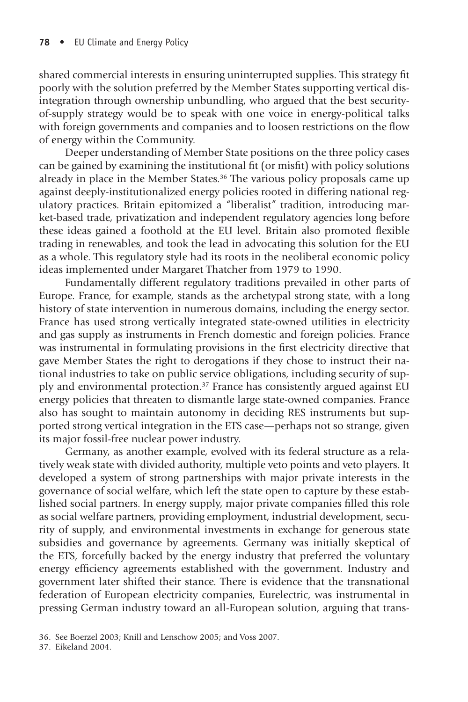shared commercial interests in ensuring uninterrupted supplies. This strategy fit poorly with the solution preferred by the Member States supporting vertical disintegration through ownership unbundling, who argued that the best securityof-supply strategy would be to speak with one voice in energy-political talks with foreign governments and companies and to loosen restrictions on the flow of energy within the Community.

Deeper understanding of Member State positions on the three policy cases can be gained by examining the institutional fit (or misfit) with policy solutions already in place in the Member States.<sup>36</sup> The various policy proposals came up against deeply-institutionalized energy policies rooted in differing national regulatory practices. Britain epitomized a "liberalist" tradition, introducing market-based trade, privatization and independent regulatory agencies long before these ideas gained a foothold at the EU level. Britain also promoted flexible trading in renewables, and took the lead in advocating this solution for the EU as a whole. This regulatory style had its roots in the neoliberal economic policy ideas implemented under Margaret Thatcher from 1979 to 1990.

Fundamentally different regulatory traditions prevailed in other parts of Europe. France, for example, stands as the archetypal strong state, with a long history of state intervention in numerous domains, including the energy sector. France has used strong vertically integrated state-owned utilities in electricity and gas supply as instruments in French domestic and foreign policies. France was instrumental in formulating provisions in the first electricity directive that gave Member States the right to derogations if they chose to instruct their national industries to take on public service obligations, including security of supply and environmental protection.37 France has consistently argued against EU energy policies that threaten to dismantle large state-owned companies. France also has sought to maintain autonomy in deciding RES instruments but supported strong vertical integration in the ETS case—perhaps not so strange, given its major fossil-free nuclear power industry.

Germany, as another example, evolved with its federal structure as a relatively weak state with divided authority, multiple veto points and veto players. It developed a system of strong partnerships with major private interests in the governance of social welfare, which left the state open to capture by these established social partners. In energy supply, major private companies filled this role as social welfare partners, providing employment, industrial development, security of supply, and environmental investments in exchange for generous state subsidies and governance by agreements. Germany was initially skeptical of the ETS, forcefully backed by the energy industry that preferred the voluntary energy efficiency agreements established with the government. Industry and government later shifted their stance. There is evidence that the transnational federation of European electricity companies, Eurelectric, was instrumental in pressing German industry toward an all-European solution, arguing that trans-

37. Eikeland 2004.

<sup>36.</sup> See Boerzel 2003; Knill and Lenschow 2005; and Voss 2007.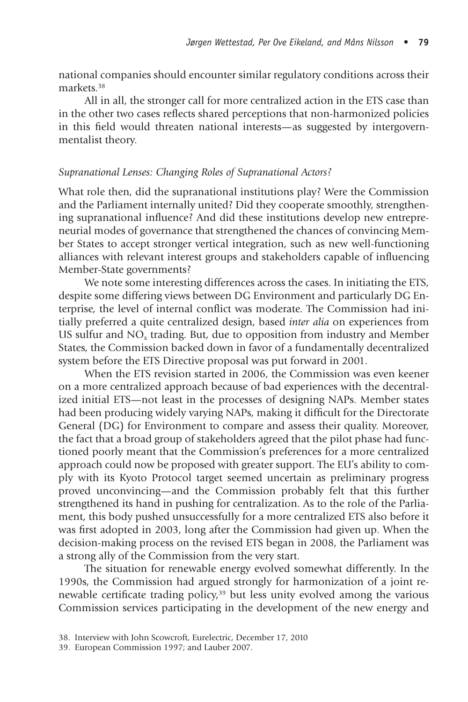national companies should encounter similar regulatory conditions across their markets.38

All in all, the stronger call for more centralized action in the ETS case than in the other two cases reflects shared perceptions that non-harmonized policies in this field would threaten national interests—as suggested by intergovernmentalist theory.

### *Supranational Lenses: Changing Roles of Supranational Actors?*

What role then, did the supranational institutions play? Were the Commission and the Parliament internally united? Did they cooperate smoothly, strengthening supranational influence? And did these institutions develop new entrepreneurial modes of governance that strengthened the chances of convincing Member States to accept stronger vertical integration, such as new well-functioning alliances with relevant interest groups and stakeholders capable of influencing Member-State governments?

We note some interesting differences across the cases. In initiating the ETS, despite some differing views between DG Environment and particularly DG Enterprise, the level of internal conflict was moderate. The Commission had initially preferred a quite centralized design, based *inter alia* on experiences from US sulfur and NOx trading. But, due to opposition from industry and Member States, the Commission backed down in favor of a fundamentally decentralized system before the ETS Directive proposal was put forward in 2001.

When the ETS revision started in 2006, the Commission was even keener on a more centralized approach because of bad experiences with the decentralized initial ETS—not least in the processes of designing NAPs. Member states had been producing widely varying NAPs, making it difficult for the Directorate General (DG) for Environment to compare and assess their quality. Moreover, the fact that a broad group of stakeholders agreed that the pilot phase had functioned poorly meant that the Commission's preferences for a more centralized approach could now be proposed with greater support. The EU's ability to comply with its Kyoto Protocol target seemed uncertain as preliminary progress proved unconvincing—and the Commission probably felt that this further strengthened its hand in pushing for centralization. As to the role of the Parliament, this body pushed unsuccessfully for a more centralized ETS also before it was first adopted in 2003, long after the Commission had given up. When the decision-making process on the revised ETS began in 2008, the Parliament was a strong ally of the Commission from the very start.

The situation for renewable energy evolved somewhat differently. In the 1990s, the Commission had argued strongly for harmonization of a joint renewable certificate trading policy,<sup>39</sup> but less unity evolved among the various Commission services participating in the development of the new energy and

<sup>38.</sup> Interview with John Scowcroft, Eurelectric, December 17, 2010

<sup>39.</sup> European Commission 1997; and Lauber 2007.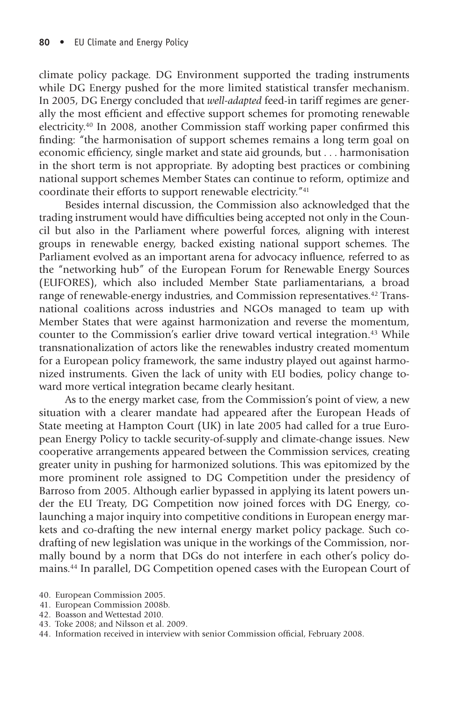climate policy package. DG Environment supported the trading instruments while DG Energy pushed for the more limited statistical transfer mechanism. In 2005, DG Energy concluded that *well-adapted* feed-in tariff regimes are generally the most efficient and effective support schemes for promoting renewable electricity.<sup>40</sup> In 2008, another Commission staff working paper confirmed this finding: "the harmonisation of support schemes remains a long term goal on economic efficiency, single market and state aid grounds, but . . . harmonisation in the short term is not appropriate. By adopting best practices or combining national support schemes Member States can continue to reform, optimize and coordinate their efforts to support renewable electricity."41

Besides internal discussion, the Commission also acknowledged that the trading instrument would have difficulties being accepted not only in the Council but also in the Parliament where powerful forces, aligning with interest groups in renewable energy, backed existing national support schemes. The Parliament evolved as an important arena for advocacy influence, referred to as the "networking hub" of the European Forum for Renewable Energy Sources (EUFORES), which also included Member State parliamentarians, a broad range of renewable-energy industries, and Commission representatives.<sup>42</sup> Transnational coalitions across industries and NGOs managed to team up with Member States that were against harmonization and reverse the momentum, counter to the Commission's earlier drive toward vertical integration.<sup>43</sup> While transnationalization of actors like the renewables industry created momentum for a European policy framework, the same industry played out against harmonized instruments. Given the lack of unity with EU bodies, policy change toward more vertical integration became clearly hesitant.

As to the energy market case, from the Commission's point of view, a new situation with a clearer mandate had appeared after the European Heads of State meeting at Hampton Court (UK) in late 2005 had called for a true European Energy Policy to tackle security-of-supply and climate-change issues. New cooperative arrangements appeared between the Commission services, creating greater unity in pushing for harmonized solutions. This was epitomized by the more prominent role assigned to DG Competition under the presidency of Barroso from 2005. Although earlier bypassed in applying its latent powers under the EU Treaty, DG Competition now joined forces with DG Energy, colaunching a major inquiry into competitive conditions in European energy markets and co-drafting the new internal energy market policy package. Such codrafting of new legislation was unique in the workings of the Commission, normally bound by a norm that DGs do not interfere in each other's policy domains.44 In parallel, DG Competition opened cases with the European Court of

43. Toke 2008; and Nilsson et al. 2009.

<sup>40.</sup> European Commission 2005.

<sup>41.</sup> European Commission 2008b.

<sup>42.</sup> Boasson and Wettestad 2010.

<sup>44.</sup> Information received in interview with senior Commission official, February 2008.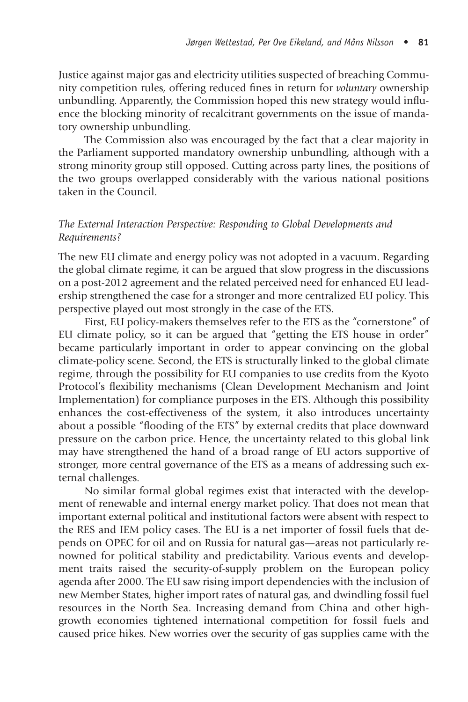Justice against major gas and electricity utilities suspected of breaching Community competition rules, offering reduced fines in return for *voluntary* ownership unbundling. Apparently, the Commission hoped this new strategy would influence the blocking minority of recalcitrant governments on the issue of mandatory ownership unbundling.

The Commission also was encouraged by the fact that a clear majority in the Parliament supported mandatory ownership unbundling, although with a strong minority group still opposed. Cutting across party lines, the positions of the two groups overlapped considerably with the various national positions taken in the Council.

## *The External Interaction Perspective: Responding to Global Developments and Requirements?*

The new EU climate and energy policy was not adopted in a vacuum. Regarding the global climate regime, it can be argued that slow progress in the discussions on a post-2012 agreement and the related perceived need for enhanced EU leadership strengthened the case for a stronger and more centralized EU policy. This perspective played out most strongly in the case of the ETS.

First, EU policy-makers themselves refer to the ETS as the "cornerstone" of EU climate policy, so it can be argued that "getting the ETS house in order" became particularly important in order to appear convincing on the global climate-policy scene. Second, the ETS is structurally linked to the global climate regime, through the possibility for EU companies to use credits from the Kyoto Protocol's flexibility mechanisms (Clean Development Mechanism and Joint Implementation) for compliance purposes in the ETS. Although this possibility enhances the cost-effectiveness of the system, it also introduces uncertainty about a possible "flooding of the ETS" by external credits that place downward pressure on the carbon price. Hence, the uncertainty related to this global link may have strengthened the hand of a broad range of EU actors supportive of stronger, more central governance of the ETS as a means of addressing such external challenges.

No similar formal global regimes exist that interacted with the development of renewable and internal energy market policy. That does not mean that important external political and institutional factors were absent with respect to the RES and IEM policy cases. The EU is a net importer of fossil fuels that depends on OPEC for oil and on Russia for natural gas—areas not particularly renowned for political stability and predictability. Various events and development traits raised the security-of-supply problem on the European policy agenda after 2000. The EU saw rising import dependencies with the inclusion of new Member States, higher import rates of natural gas, and dwindling fossil fuel resources in the North Sea. Increasing demand from China and other highgrowth economies tightened international competition for fossil fuels and caused price hikes. New worries over the security of gas supplies came with the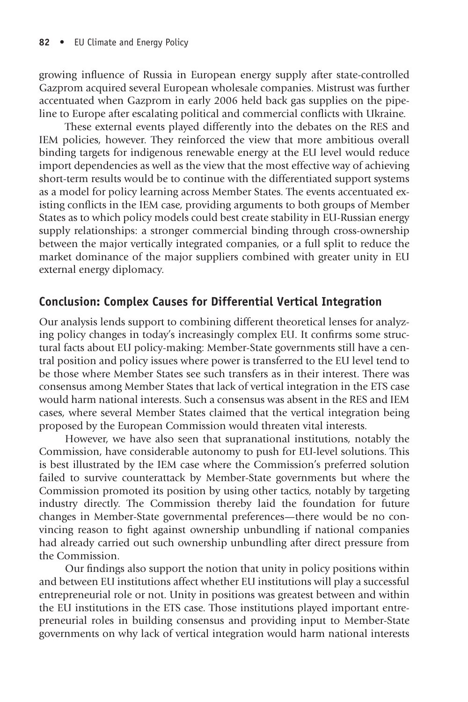growing influence of Russia in European energy supply after state-controlled Gazprom acquired several European wholesale companies. Mistrust was further accentuated when Gazprom in early 2006 held back gas supplies on the pipeline to Europe after escalating political and commercial conflicts with Ukraine.

These external events played differently into the debates on the RES and IEM policies, however. They reinforced the view that more ambitious overall binding targets for indigenous renewable energy at the EU level would reduce import dependencies as well as the view that the most effective way of achieving short-term results would be to continue with the differentiated support systems as a model for policy learning across Member States. The events accentuated existing conflicts in the IEM case, providing arguments to both groups of Member States as to which policy models could best create stability in EU-Russian energy supply relationships: a stronger commercial binding through cross-ownership between the major vertically integrated companies, or a full split to reduce the market dominance of the major suppliers combined with greater unity in EU external energy diplomacy.

# **Conclusion: Complex Causes for Differential Vertical Integration**

Our analysis lends support to combining different theoretical lenses for analyzing policy changes in today's increasingly complex EU. It confirms some structural facts about EU policy-making: Member-State governments still have a central position and policy issues where power is transferred to the EU level tend to be those where Member States see such transfers as in their interest. There was consensus among Member States that lack of vertical integration in the ETS case would harm national interests. Such a consensus was absent in the RES and IEM cases, where several Member States claimed that the vertical integration being proposed by the European Commission would threaten vital interests.

However, we have also seen that supranational institutions, notably the Commission, have considerable autonomy to push for EU-level solutions. This is best illustrated by the IEM case where the Commission's preferred solution failed to survive counterattack by Member-State governments but where the Commission promoted its position by using other tactics, notably by targeting industry directly. The Commission thereby laid the foundation for future changes in Member-State governmental preferences—there would be no convincing reason to fight against ownership unbundling if national companies had already carried out such ownership unbundling after direct pressure from the Commission.

Our findings also support the notion that unity in policy positions within and between EU institutions affect whether EU institutions will play a successful entrepreneurial role or not. Unity in positions was greatest between and within the EU institutions in the ETS case. Those institutions played important entrepreneurial roles in building consensus and providing input to Member-State governments on why lack of vertical integration would harm national interests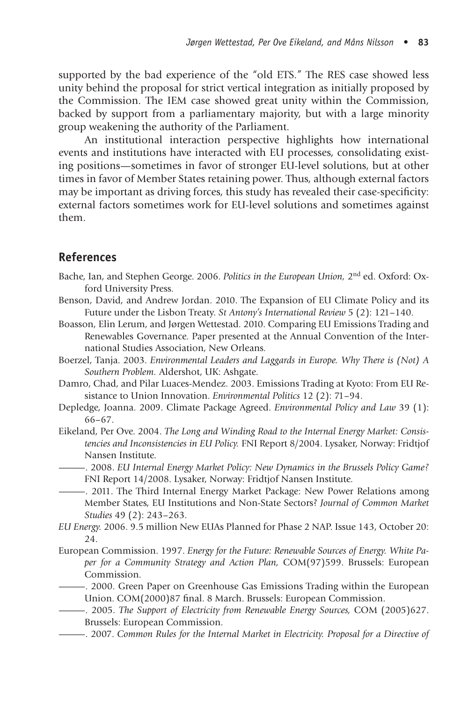supported by the bad experience of the "old ETS." The RES case showed less unity behind the proposal for strict vertical integration as initially proposed by the Commission. The IEM case showed great unity within the Commission, backed by support from a parliamentary majority, but with a large minority group weakening the authority of the Parliament.

An institutional interaction perspective highlights how international events and institutions have interacted with EU processes, consolidating existing positions—sometimes in favor of stronger EU-level solutions, but at other times in favor of Member States retaining power. Thus, although external factors may be important as driving forces, this study has revealed their case-specificity: external factors sometimes work for EU-level solutions and sometimes against them.

# **References**

- Bache, Ian, and Stephen George. 2006. *Politics in the European Union,* 2nd ed. Oxford: Oxford University Press.
- Benson, David, and Andrew Jordan. 2010. The Expansion of EU Climate Policy and its Future under the Lisbon Treaty. *St Antony's International Review* 5 (2): 121–140.
- Boasson, Elin Lerum, and Jørgen Wettestad. 2010. Comparing EU Emissions Trading and Renewables Governance. Paper presented at the Annual Convention of the International Studies Association, New Orleans.
- Boerzel, Tanja. 2003. *Environmental Leaders and Laggards in Europe. Why There is (Not) A Southern Problem.* Aldershot, UK: Ashgate.
- Damro, Chad, and Pilar Luaces-Mendez. 2003. Emissions Trading at Kyoto: From EU Resistance to Union Innovation. *Environmental Politics* 12 (2): 71–94.
- Depledge, Joanna. 2009. Climate Package Agreed. *Environmental Policy and Law* 39 (1): 66–67.
- Eikeland, Per Ove. 2004. *The Long and Winding Road to the Internal Energy Market: Consistencies and Inconsistencies in EU Policy.* FNI Report 8/2004. Lysaker, Norway: Fridtjof Nansen Institute.
- ———. 2008. *EU Internal Energy Market Policy: New Dynamics in the Brussels Policy Game?* FNI Report 14/2008. Lysaker, Norway: Fridtjof Nansen Institute.
- ———. 2011. The Third Internal Energy Market Package: New Power Relations among Member States, EU Institutions and Non-State Sectors? *Journal of Common Market Studies* 49 (2): 243–263.
- *EU Energy.* 2006. 9.5 million New EUAs Planned for Phase 2 NAP. Issue 143, October 20: 24.
- European Commission. 1997. *Energy for the Future: Renewable Sources of Energy. White Paper for a Community Strategy and Action Plan,* COM(97)599. Brussels: European Commission.
- ———. 2000. Green Paper on Greenhouse Gas Emissions Trading within the European Union. COM(2000)87 final. 8 March. Brussels: European Commission.
- ———. 2005. *The Support of Electricity from Renewable Energy Sources,* COM (2005)627. Brussels: European Commission.
	- ———. 2007. *Common Rules for the Internal Market in Electricity. Proposal for a Directive of*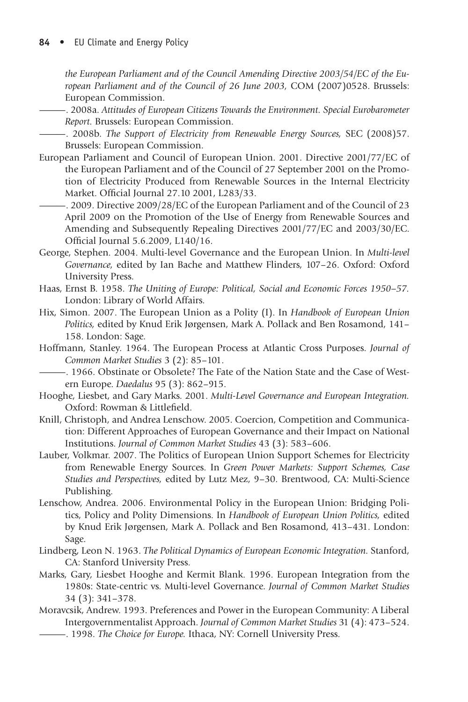*the European Parliament and of the Council Amending Directive 2003/54/EC of the European Parliament and of the Council of 26 June 2003,* COM (2007)0528. Brussels: European Commission.

- ———. 2008a. *Attitudes of European Citizens Towards the Environment. Special Eurobarometer Report.* Brussels: European Commission.
- ———. 2008b. *The Support of Electricity from Renewable Energy Sources,* SEC (2008)57. Brussels: European Commission.
- European Parliament and Council of European Union. 2001. Directive 2001/77/EC of the European Parliament and of the Council of 27 September 2001 on the Promotion of Electricity Produced from Renewable Sources in the Internal Electricity Market. Official Journal 27.10 2001, L283/33.
- ———. 2009. Directive 2009/28/EC of the European Parliament and of the Council of 23 April 2009 on the Promotion of the Use of Energy from Renewable Sources and Amending and Subsequently Repealing Directives 2001/77/EC and 2003/30/EC. Official Journal 5.6.2009, L140/16.
- George, Stephen. 2004. Multi-level Governance and the European Union. In *Multi-level Governance,* edited by Ian Bache and Matthew Flinders, 107–26. Oxford: Oxford University Press.
- Haas, Ernst B. 1958. *The Uniting of Europe: Political, Social and Economic Forces 1950–57.* London: Library of World Affairs.
- Hix, Simon. 2007. The European Union as a Polity (I). In *Handbook of European Union Politics,* edited by Knud Erik Jørgensen, Mark A. Pollack and Ben Rosamond, 141– 158. London: Sage.
- Hoffmann, Stanley. 1964. The European Process at Atlantic Cross Purposes. *Journal of Common Market Studies* 3 (2): 85–101.
- ———. 1966. Obstinate or Obsolete? The Fate of the Nation State and the Case of Western Europe. *Daedalus* 95 (3): 862–915.
- Hooghe, Liesbet, and Gary Marks. 2001. *Multi-Level Governance and European Integration.* Oxford: Rowman & Littlefield.
- Knill, Christoph, and Andrea Lenschow. 2005. Coercion, Competition and Communication: Different Approaches of European Governance and their Impact on National Institutions. *Journal of Common Market Studies* 43 (3): 583–606.
- Lauber, Volkmar. 2007. The Politics of European Union Support Schemes for Electricity from Renewable Energy Sources. In *Green Power Markets: Support Schemes, Case Studies and Perspectives,* edited by Lutz Mez, 9–30. Brentwood, CA: Multi-Science Publishing.
- Lenschow, Andrea. 2006. Environmental Policy in the European Union: Bridging Politics, Policy and Polity Dimensions. In *Handbook of European Union Politics,* edited by Knud Erik Jørgensen, Mark A. Pollack and Ben Rosamond, 413–431. London: Sage.
- Lindberg, Leon N. 1963. *The Political Dynamics of European Economic Integration.* Stanford, CA: Stanford University Press.
- Marks, Gary, Liesbet Hooghe and Kermit Blank. 1996. European Integration from the 1980s: State-centric vs. Multi-level Governance. *Journal of Common Market Studies* 34 (3): 341–378.
- Moravcsik, Andrew. 1993. Preferences and Power in the European Community: A Liberal Intergovernmentalist Approach. *Journal of Common Market Studies* 31 (4): 473–524.
	- ———. 1998. *The Choice for Europe.* Ithaca, NY: Cornell University Press.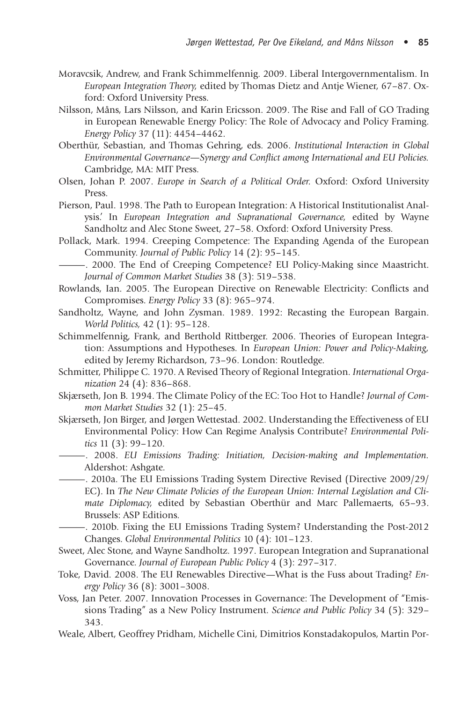- Moravcsik, Andrew, and Frank Schimmelfennig. 2009. Liberal Intergovernmentalism. In *European Integration Theory,* edited by Thomas Dietz and Antje Wiener, 67–87. Oxford: Oxford University Press.
- Nilsson, Måns, Lars Nilsson, and Karin Ericsson. 2009. The Rise and Fall of GO Trading in European Renewable Energy Policy: The Role of Advocacy and Policy Framing. *Energy Policy* 37 (11): 4454–4462.
- Oberthür, Sebastian, and Thomas Gehring, eds. 2006. *Institutional Interaction in Global Environmental Governance—Synergy and Conflict among International and EU Policies.* Cambridge, MA: MIT Press.
- Olsen, Johan P. 2007. *Europe in Search of a Political Order.* Oxford: Oxford University Press.
- Pierson, Paul. 1998. The Path to European Integration: A Historical Institutionalist Analysis.' In *European Integration and Supranational Governance,* edited by Wayne Sandholtz and Alec Stone Sweet, 27–58. Oxford: Oxford University Press.
- Pollack, Mark. 1994. Creeping Competence: The Expanding Agenda of the European Community. *Journal of Public Policy* 14 (2): 95–145.
- ———. 2000. The End of Creeping Competence? EU Policy-Making since Maastricht. *Journal of Common Market Studies* 38 (3): 519–538.
- Rowlands, Ian. 2005. The European Directive on Renewable Electricity: Conflicts and Compromises. *Energy Policy* 33 (8): 965–974.
- Sandholtz, Wayne, and John Zysman. 1989. 1992: Recasting the European Bargain. *World Politics,* 42 (1): 95–128.
- Schimmelfennig, Frank, and Berthold Rittberger. 2006. Theories of European Integration: Assumptions and Hypotheses. In *European Union: Power and Policy-Making,* edited by Jeremy Richardson, 73–96. London: Routledge.
- Schmitter, Philippe C. 1970. A Revised Theory of Regional Integration. *International Organization* 24 (4): 836–868.
- Skjærseth, Jon B. 1994. The Climate Policy of the EC: Too Hot to Handle? *Journal of Common Market Studies* 32 (1): 25–45.
- Skjærseth, Jon Birger, and Jørgen Wettestad. 2002. Understanding the Effectiveness of EU Environmental Policy: How Can Regime Analysis Contribute? *Environmental Politics* 11 (3): 99–120.
- ———. 2008. *EU Emissions Trading: Initiation, Decision-making and Implementation.* Aldershot: Ashgate.
	- ———. 2010a. The EU Emissions Trading System Directive Revised (Directive 2009/29/ EC). In *The New Climate Policies of the European Union: Internal Legislation and Climate Diplomacy,* edited by Sebastian Oberthür and Marc Pallemaerts, 65–93. Brussels: ASP Editions.
- ———. 2010b. Fixing the EU Emissions Trading System? Understanding the Post-2012 Changes. *Global Environmental Politics* 10 (4): 101–123.
- Sweet, Alec Stone, and Wayne Sandholtz. 1997. European Integration and Supranational Governance. *Journal of European Public Policy* 4 (3): 297–317.
- Toke, David. 2008. The EU Renewables Directive—What is the Fuss about Trading? *Energy Policy* 36 (8): 3001–3008.
- Voss, Jan Peter. 2007. Innovation Processes in Governance: The Development of "Emissions Trading" as a New Policy Instrument. *Science and Public Policy* 34 (5): 329– 343.
- Weale, Albert, Geoffrey Pridham, Michelle Cini, Dimitrios Konstadakopulos, Martin Por-